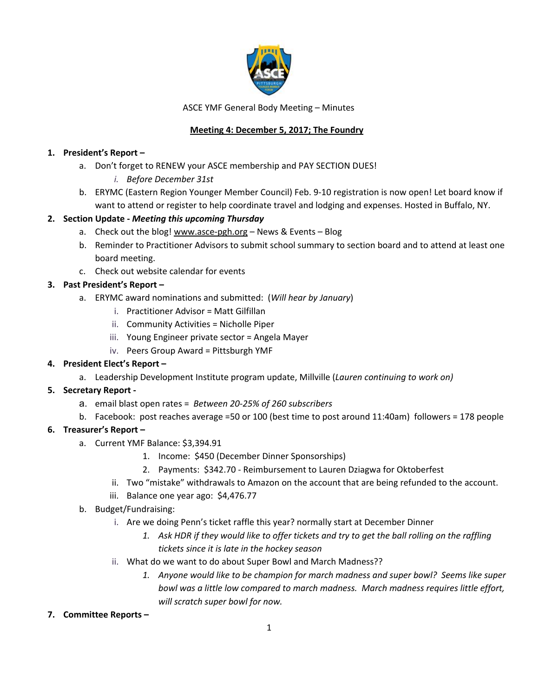

ASCE YMF General Body Meeting – Minutes

# **Meeting 4: December 5, 2017; The Foundry**

## **1. President's Report –**

- a. Don't forget to RENEW your ASCE membership and PAY SECTION DUES!
	- *i. Before December 31st*
- b. ERYMC (Eastern Region Younger Member Council) Feb. 9-10 registration is now open! Let board know if want to attend or register to help coordinate travel and lodging and expenses. Hosted in Buffalo, NY.

## **2. Section Update -** *Meeting this upcoming Thursday*

- a. Check out the blog! [www.asce-pgh.org](http://www.asce-pgh.org/) News & Events Blog
- b. Reminder to Practitioner Advisors to submit school summary to section board and to attend at least one board meeting.
- c. Check out website calendar for events

#### **3. Past President's Report –**

- a. ERYMC award nominations and submitted: (*Will hear by January*)
	- i. Practitioner Advisor = Matt Gilfillan
	- ii. Community Activities = Nicholle Piper
	- iii. Young Engineer private sector = Angela Mayer
	- iv. Peers Group Award = Pittsburgh YMF

#### **4. President Elect's Report –**

a. Leadership Development Institute program update, Millville (*Lauren continuing to work on)*

## **5. Secretary Report -**

- a. email blast open rates = *Between 20-25% of 260 subscribers*
- b. Facebook: post reaches average =50 or 100 (best time to post around 11:40am) followers = 178 people

## **6. Treasurer's Report –**

- a. Current YMF Balance: \$3,394.91
	- 1. Income: \$450 (December Dinner Sponsorships)
	- 2. Payments: \$342.70 Reimbursement to Lauren Dziagwa for Oktoberfest
	- ii. Two "mistake" withdrawals to Amazon on the account that are being refunded to the account.
	- iii. Balance one year ago: \$4,476.77
- b. Budget/Fundraising:
	- i. Are we doing Penn's ticket raffle this year? normally start at December Dinner
		- 1. Ask HDR if they would like to offer tickets and try to get the ball rolling on the raffling *tickets since it is late in the hockey season*
	- ii. What do we want to do about Super Bowl and March Madness??
		- *1. Anyone would like to be champion for march madness and super bowl? Seems like super bowl was a little low compared to march madness. March madness requires little effort, will scratch super bowl for now.*
- **7. Committee Reports –**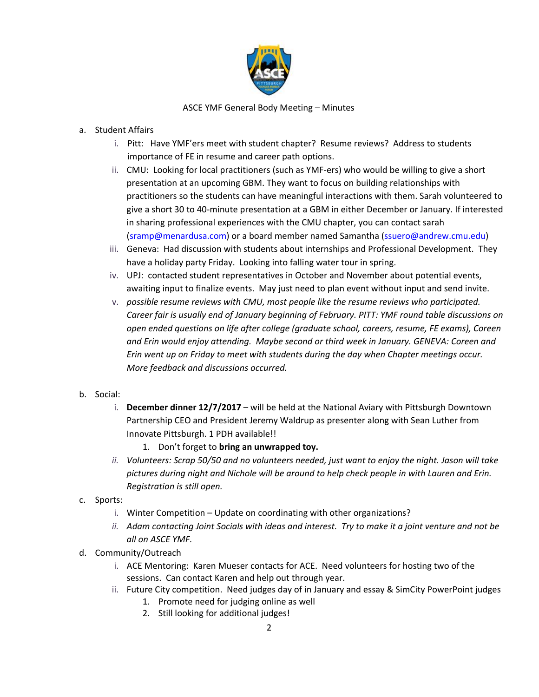

#### ASCE YMF General Body Meeting – Minutes

#### a. Student Affairs

- i. Pitt: Have YMF'ers meet with student chapter? Resume reviews? Address to students importance of FE in resume and career path options.
- ii. CMU: Looking for local practitioners (such as YMF-ers) who would be willing to give a short presentation at an upcoming GBM. They want to focus on building relationships with practitioners so the students can have meaningful interactions with them. Sarah volunteered to give a short 30 to 40-minute presentation at a GBM in either December or January. If interested in sharing professional experiences with the CMU chapter, you can contact sarah [\(sramp@menardusa.com](https://mail.borton-lawson.com/owa/redir.aspx?SURL=hDsTYkq3iNyu-CjUm_ymAJAKeRq0NChohewwldwH4_CyoITBkCXVCG0AYQBpAGwAdABvADoAcwByAGEAbQBwAEAAbQBlAG4AYQByAGQAdQBzAGEALgBjAG8AbQA.&URL=mailto%3asramp%40menardusa.com)) or a board member named Samantha [\(ssuero@andrew.cmu.edu\)](https://mail.borton-lawson.com/owa/redir.aspx?SURL=X8tbhjDiUPFsuYOiTa_wzUpjAnm0yEM2yz82oq22RKmyoITBkCXVCG0AYQBpAGwAdABvADoAcwBzAHUAZQByAG8AQABhAG4AZAByAGUAdwAuAGMAbQB1AC4AZQBkAHUA&URL=mailto%3assuero%40andrew.cmu.edu)
- iii. Geneva: Had discussion with students about internships and Professional Development. They have a holiday party Friday. Looking into falling water tour in spring.
- iv. UPJ: contacted student representatives in October and November about potential events, awaiting input to finalize events. May just need to plan event without input and send invite.
- v. *possible resume reviews with CMU, most people like the resume reviews who participated. Career fair is usually end of January beginning of February. PITT: YMF round table discussions on open ended questions on life after college (graduate school, careers, resume, FE exams), Coreen and Erin would enjoy attending. Maybe second or third week in January. GENEVA: Coreen and Erin went up on Friday to meet with students during the day when Chapter meetings occur. More feedback and discussions occurred.*
- b. Social:
	- i. **December dinner 12/7/2017** will be held at the National Aviary with Pittsburgh Downtown Partnership CEO and President Jeremy Waldrup as presenter along with Sean Luther from Innovate Pittsburgh. 1 PDH available!!
		- 1. Don't forget to **bring an unwrapped toy.**
	- *ii. Volunteers: Scrap 50/50 and no volunteers needed, just want to enjoy the night. Jason will take pictures during night and Nichole will be around to help check people in with Lauren and Erin. Registration is still open.*
- c. Sports:
	- i. Winter Competition Update on coordinating with other organizations?
	- ii. Adam contacting Joint Socials with ideas and interest. Try to make it a joint venture and not be *all on ASCE YMF.*
- d. Community/Outreach
	- i. ACE Mentoring: Karen Mueser contacts for ACE. Need volunteers for hosting two of the sessions. Can contact Karen and help out through year.
	- ii. Future City competition. Need judges day of in January and essay & SimCity PowerPoint judges
		- 1. Promote need for judging online as well
		- 2. Still looking for additional judges!